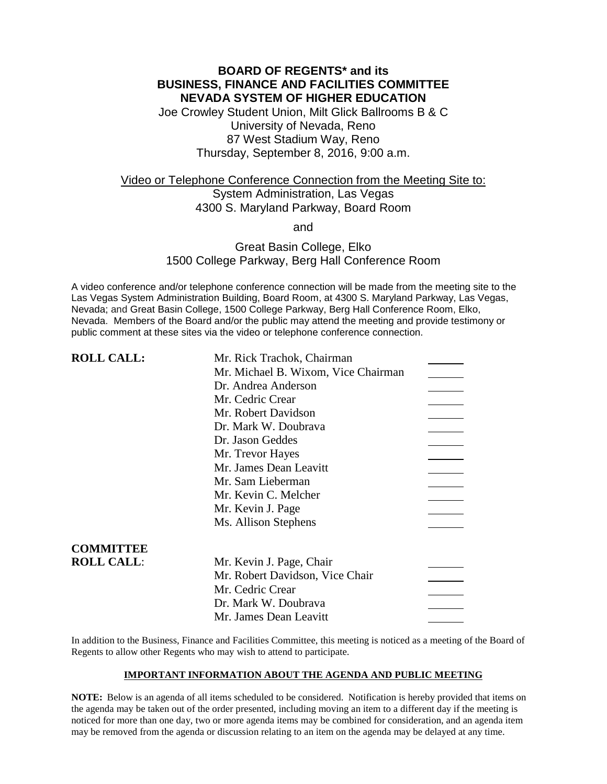# **BOARD OF REGENTS\* and its BUSINESS, FINANCE AND FACILITIES COMMITTEE NEVADA SYSTEM OF HIGHER EDUCATION**

Joe Crowley Student Union, Milt Glick Ballrooms B & C University of Nevada, Reno 87 West Stadium Way, Reno Thursday, September 8, 2016, 9:00 a.m.

# Video or Telephone Conference Connection from the Meeting Site to: System Administration, Las Vegas 4300 S. Maryland Parkway, Board Room

and

### Great Basin College, Elko 1500 College Parkway, Berg Hall Conference Room

A video conference and/or telephone conference connection will be made from the meeting site to the Las Vegas System Administration Building, Board Room, at 4300 S. Maryland Parkway, Las Vegas, Nevada; and Great Basin College, 1500 College Parkway, Berg Hall Conference Room, Elko, Nevada. Members of the Board and/or the public may attend the meeting and provide testimony or public comment at these sites via the video or telephone conference connection.

| <b>ROLL CALL:</b> | Mr. Rick Trachok, Chairman          |  |
|-------------------|-------------------------------------|--|
|                   | Mr. Michael B. Wixom, Vice Chairman |  |
|                   | Dr. Andrea Anderson                 |  |
|                   | Mr. Cedric Crear                    |  |
|                   | Mr. Robert Davidson                 |  |
|                   | Dr. Mark W. Doubrava                |  |
|                   | Dr. Jason Geddes                    |  |
|                   | Mr. Trevor Hayes                    |  |
|                   | Mr. James Dean Leavitt              |  |
|                   | Mr. Sam Lieberman                   |  |
|                   | Mr. Kevin C. Melcher                |  |
|                   | Mr. Kevin J. Page                   |  |
|                   | Ms. Allison Stephens                |  |
|                   |                                     |  |
| <b>COMMITTEE</b>  |                                     |  |
| <b>ROLL CALL:</b> | Mr. Kevin J. Page, Chair            |  |
|                   | Mr. Robert Davidson, Vice Chair     |  |
|                   | Mr. Cedric Crear                    |  |
|                   | Dr. Mark W. Doubrava                |  |
|                   | Mr. James Dean Leavitt              |  |

In addition to the Business, Finance and Facilities Committee, this meeting is noticed as a meeting of the Board of Regents to allow other Regents who may wish to attend to participate.

### **IMPORTANT INFORMATION ABOUT THE AGENDA AND PUBLIC MEETING**

**NOTE:** Below is an agenda of all items scheduled to be considered. Notification is hereby provided that items on the agenda may be taken out of the order presented, including moving an item to a different day if the meeting is noticed for more than one day, two or more agenda items may be combined for consideration, and an agenda item may be removed from the agenda or discussion relating to an item on the agenda may be delayed at any time.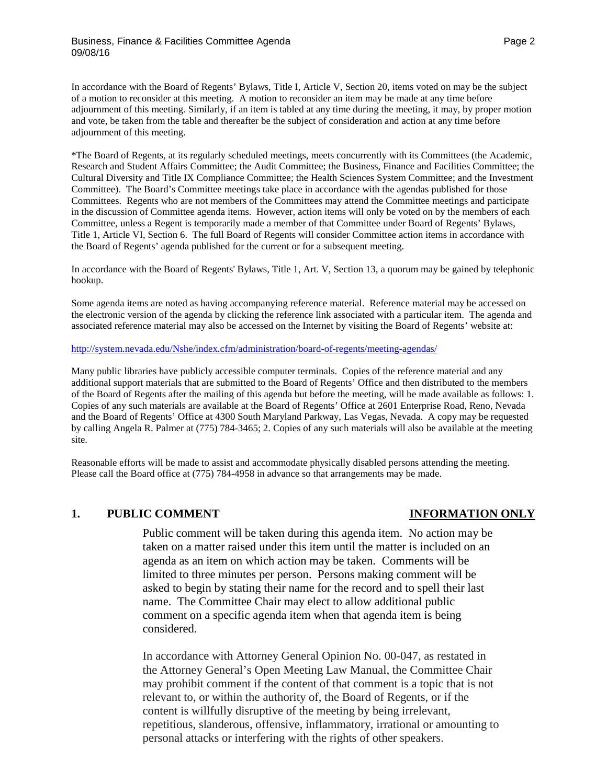### Business, Finance & Facilities Committee Agenda **Page 2** Assessment Rage 2 09/08/16

In accordance with the Board of Regents' Bylaws, Title I, Article V, Section 20, items voted on may be the subject of a motion to reconsider at this meeting. A motion to reconsider an item may be made at any time before adjournment of this meeting. Similarly, if an item is tabled at any time during the meeting, it may, by proper motion and vote, be taken from the table and thereafter be the subject of consideration and action at any time before adjournment of this meeting.

\*The Board of Regents, at its regularly scheduled meetings, meets concurrently with its Committees (the Academic, Research and Student Affairs Committee; the Audit Committee; the Business, Finance and Facilities Committee; the Cultural Diversity and Title IX Compliance Committee; the Health Sciences System Committee; and the Investment Committee). The Board's Committee meetings take place in accordance with the agendas published for those Committees. Regents who are not members of the Committees may attend the Committee meetings and participate in the discussion of Committee agenda items. However, action items will only be voted on by the members of each Committee, unless a Regent is temporarily made a member of that Committee under Board of Regents' Bylaws, Title 1, Article VI, Section 6. The full Board of Regents will consider Committee action items in accordance with the Board of Regents' agenda published for the current or for a subsequent meeting.

In accordance with the Board of Regents' Bylaws, Title 1, Art. V, Section 13, a quorum may be gained by telephonic hookup.

Some agenda items are noted as having accompanying reference material. Reference material may be accessed on the electronic version of the agenda by clicking the reference link associated with a particular item. The agenda and associated reference material may also be accessed on the Internet by visiting the Board of Regents' website at:

### <http://system.nevada.edu/Nshe/index.cfm/administration/board-of-regents/meeting-agendas/>

Many public libraries have publicly accessible computer terminals. Copies of the reference material and any additional support materials that are submitted to the Board of Regents' Office and then distributed to the members of the Board of Regents after the mailing of this agenda but before the meeting, will be made available as follows: 1. Copies of any such materials are available at the Board of Regents' Office at 2601 Enterprise Road, Reno, Nevada and the Board of Regents' Office at 4300 South Maryland Parkway, Las Vegas, Nevada. A copy may be requested by calling Angela R. Palmer at (775) 784-3465; 2. Copies of any such materials will also be available at the meeting site.

Reasonable efforts will be made to assist and accommodate physically disabled persons attending the meeting. Please call the Board office at (775) 784-4958 in advance so that arrangements may be made.

### **1. PUBLIC COMMENT INFORMATION ONLY**

Public comment will be taken during this agenda item. No action may be taken on a matter raised under this item until the matter is included on an agenda as an item on which action may be taken. Comments will be limited to three minutes per person. Persons making comment will be asked to begin by stating their name for the record and to spell their last name. The Committee Chair may elect to allow additional public comment on a specific agenda item when that agenda item is being considered.

In accordance with Attorney General Opinion No. 00-047, as restated in the Attorney General's Open Meeting Law Manual, the Committee Chair may prohibit comment if the content of that comment is a topic that is not relevant to, or within the authority of, the Board of Regents, or if the content is willfully disruptive of the meeting by being irrelevant, repetitious, slanderous, offensive, inflammatory, irrational or amounting to personal attacks or interfering with the rights of other speakers.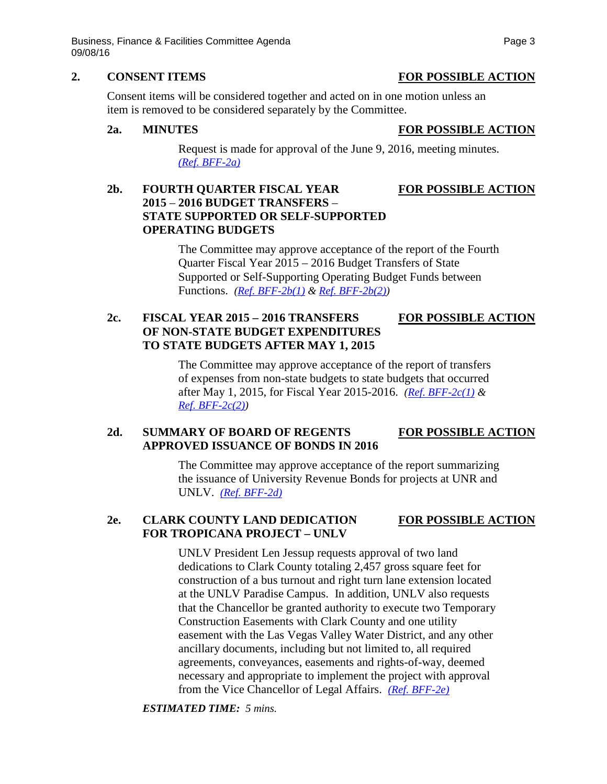Business, Finance & Facilities Committee Agenda **Page 3** Page 3 09/08/16

### **2. CONSENT ITEMS FOR POSSIBLE ACTION**

Consent items will be considered together and acted on in one motion unless an item is removed to be considered separately by the Committee.

### **2a. MINUTES FOR POSSIBLE ACTION**

Request is made for approval of the June 9, 2016, meeting minutes. *[\(Ref. BFF-2a\)](http://system.nevada.edu/tasks/sites/Nshe/assets/File/BoardOfRegents/Agendas/2016/sept-mtgs/bff-refs/BFF-2a.pdf)*

# **2b. FOURTH QUARTER FISCAL YEAR FOR POSSIBLE ACTION 2015** – **2016 BUDGET TRANSFERS** – **STATE SUPPORTED OR SELF-SUPPORTED OPERATING BUDGETS**

The Committee may approve acceptance of the report of the Fourth Quarter Fiscal Year 2015 – 2016 Budget Transfers of State Supported or Self-Supporting Operating Budget Funds between Functions. *[\(Ref. BFF-2b\(1\)](http://system.nevada.edu/tasks/sites/Nshe/assets/File/BoardOfRegents/Agendas/2016/sept-mtgs/bff-refs/BFF-2b(1).pdf) & [Ref. BFF-2b\(2\)\)](http://system.nevada.edu/tasks/sites/Nshe/assets/File/BoardOfRegents/Agendas/2016/sept-mtgs/bff-refs/BFF-2b(2).pdf)*

# **2c. FISCAL YEAR 2015 – 2016 TRANSFERS FOR POSSIBLE ACTION OF NON-STATE BUDGET EXPENDITURES TO STATE BUDGETS AFTER MAY 1, 2015**

The Committee may approve acceptance of the report of transfers of expenses from non-state budgets to state budgets that occurred after May 1, 2015, for Fiscal Year 2015-2016. *[\(Ref. BFF-2c\(1\)](http://system.nevada.edu/tasks/sites/Nshe/assets/File/BoardOfRegents/Agendas/2016/sept-mtgs/bff-refs/BFF-2c(1).pdf) & [Ref. BFF-2c\(2\)\)](http://system.nevada.edu/tasks/sites/Nshe/assets/File/BoardOfRegents/Agendas/2016/sept-mtgs/bff-refs/BFF-2c(2).pdf)*

# **2d. SUMMARY OF BOARD OF REGENTS FOR POSSIBLE ACTION APPROVED ISSUANCE OF BONDS IN 2016**

The Committee may approve acceptance of the report summarizing the issuance of University Revenue Bonds for projects at UNR and UNLV. *[\(Ref. BFF-2d\)](http://system.nevada.edu/tasks/sites/Nshe/assets/File/BoardOfRegents/Agendas/2016/sept-mtgs/bff-refs/BFF-2d.pdf)*

# **2e. CLARK COUNTY LAND DEDICATION FOR POSSIBLE ACTION FOR TROPICANA PROJECT – UNLV**

UNLV President Len Jessup requests approval of two land dedications to Clark County totaling 2,457 gross square feet for construction of a bus turnout and right turn lane extension located at the UNLV Paradise Campus. In addition, UNLV also requests that the Chancellor be granted authority to execute two Temporary Construction Easements with Clark County and one utility easement with the Las Vegas Valley Water District, and any other ancillary documents, including but not limited to, all required agreements, conveyances, easements and rights-of-way, deemed necessary and appropriate to implement the project with approval from the Vice Chancellor of Legal Affairs. *[\(Ref. BFF-2e\)](http://system.nevada.edu/tasks/sites/Nshe/assets/File/BoardOfRegents/Agendas/2016/sept-mtgs/bff-refs/BFF-2e.pdf)*

*ESTIMATED TIME: 5 mins.*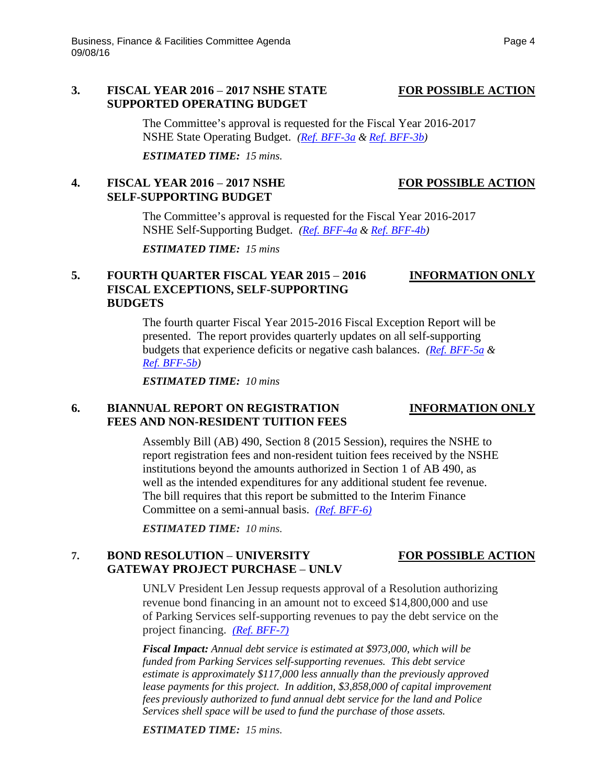### **3. FISCAL YEAR 2016** – **2017 NSHE STATE FOR POSSIBLE ACTION SUPPORTED OPERATING BUDGET**

The Committee's approval is requested for the Fiscal Year 2016-2017 NSHE State Operating Budget. *[\(Ref. BFF-3a](http://system.nevada.edu/tasks/sites/Nshe/assets/File/BoardOfRegents/Agendas/2016/sept-mtgs/bff-refs/BFF-3a.pdf) [& Ref. BFF-3b\)](http://system.nevada.edu/tasks/sites/Nshe/assets/File/BoardOfRegents/Agendas/2016/sept-mtgs/bff-refs/BFF-3b.pdf)*

*ESTIMATED TIME: 15 mins.*

## **4. FISCAL YEAR 2016** – **2017 NSHE FOR POSSIBLE ACTION SELF-SUPPORTING BUDGET**

The Committee's approval is requested for the Fiscal Year 2016-2017 NSHE Self-Supporting Budget. *[\(Ref. BFF-4a](http://system.nevada.edu/tasks/sites/Nshe/assets/File/BoardOfRegents/Agendas/2016/sept-mtgs/bff-refs/BFF-4a.pdf) & Ref. [BFF-4b\)](http://system.nevada.edu/tasks/sites/Nshe/assets/File/BoardOfRegents/Agendas/2016/sept-mtgs/bff-refs/BFF-4b.pdf)*

*ESTIMATED TIME: 15 mins*

# **5. FOURTH QUARTER FISCAL YEAR 2015** – **2016 INFORMATION ONLY FISCAL EXCEPTIONS, SELF-SUPPORTING BUDGETS**

## The fourth quarter Fiscal Year 2015-2016 Fiscal Exception Report will be presented. The report provides quarterly updates on all self-supporting budgets that experience deficits or negative cash balances. *[\(Ref. BFF-5a](http://system.nevada.edu/tasks/sites/Nshe/assets/File/BoardOfRegents/Agendas/2016/sept-mtgs/bff-refs/BFF-5a.pdf) & [Ref. BFF-5b\)](http://system.nevada.edu/tasks/sites/Nshe/assets/File/BoardOfRegents/Agendas/2016/sept-mtgs/bff-refs/BFF-5b.pdf)*

*ESTIMATED TIME: 10 mins*

# **6. BIANNUAL REPORT ON REGISTRATION INFORMATION ONLY FEES AND NON-RESIDENT TUITION FEES**

Assembly Bill (AB) 490, Section 8 (2015 Session), requires the NSHE to report registration fees and non-resident tuition fees received by the NSHE institutions beyond the amounts authorized in Section 1 of AB 490, as well as the intended expenditures for any additional student fee revenue. The bill requires that this report be submitted to the Interim Finance Committee on a semi-annual basis. *[\(Ref. BFF-6\)](http://system.nevada.edu/tasks/sites/Nshe/assets/File/BoardOfRegents/Agendas/2016/sept-mtgs/bff-refs/BFF-6.pdf)*

*ESTIMATED TIME: 10 mins.*

# **7. BOND RESOLUTION** – **UNIVERSITY FOR POSSIBLE ACTION GATEWAY PROJECT PURCHASE** – **UNLV**

UNLV President Len Jessup requests approval of a Resolution authorizing revenue bond financing in an amount not to exceed \$14,800,000 and use of Parking Services self-supporting revenues to pay the debt service on the project financing. *[\(Ref. BFF-7\)](http://system.nevada.edu/tasks/sites/Nshe/assets/File/BoardOfRegents/Agendas/2016/sept-mtgs/bff-refs/BFF-7.pdf)*

*Fiscal Impact: Annual debt service is estimated at \$973,000, which will be funded from Parking Services self-supporting revenues. This debt service estimate is approximately \$117,000 less annually than the previously approved lease payments for this project. In addition, \$3,858,000 of capital improvement fees previously authorized to fund annual debt service for the land and Police Services shell space will be used to fund the purchase of those assets.* 

*ESTIMATED TIME: 15 mins.*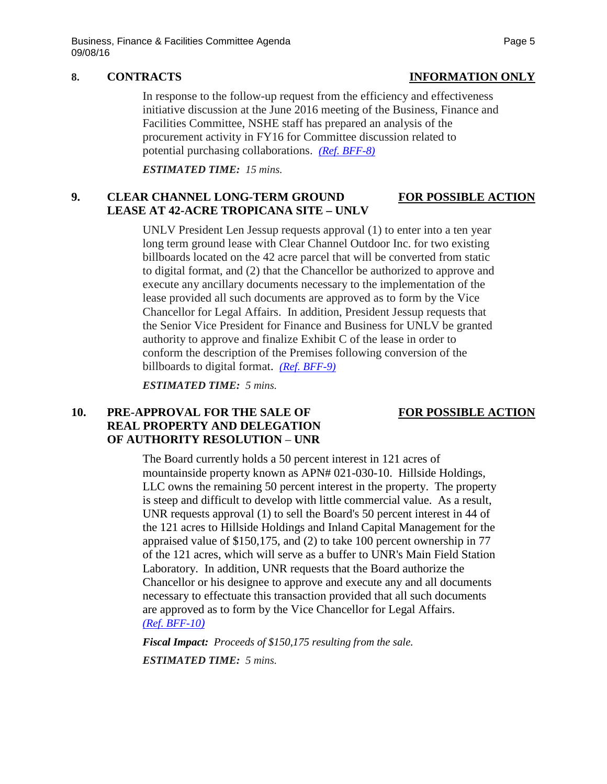# **8. CONTRACTS INFORMATION ONLY**

In response to the follow-up request from the efficiency and effectiveness initiative discussion at the June 2016 meeting of the Business, Finance and Facilities Committee, NSHE staff has prepared an analysis of the procurement activity in FY16 for Committee discussion related to potential purchasing collaborations. *[\(Ref. BFF-8\)](http://system.nevada.edu/tasks/sites/Nshe/assets/File/BoardOfRegents/Agendas/2016/sept-mtgs/bff-refs/BFF-8.pdf)*

*ESTIMATED TIME: 15 mins.*

# **9. CLEAR CHANNEL LONG-TERM GROUND FOR POSSIBLE ACTION LEASE AT 42-ACRE TROPICANA SITE – UNLV**

UNLV President Len Jessup requests approval (1) to enter into a ten year long term ground lease with Clear Channel Outdoor Inc. for two existing billboards located on the 42 acre parcel that will be converted from static to digital format, and (2) that the Chancellor be authorized to approve and execute any ancillary documents necessary to the implementation of the lease provided all such documents are approved as to form by the Vice Chancellor for Legal Affairs. In addition, President Jessup requests that the Senior Vice President for Finance and Business for UNLV be granted authority to approve and finalize Exhibit C of the lease in order to conform the description of the Premises following conversion of the billboards to digital format. *[\(Ref. BFF-9\)](http://system.nevada.edu/tasks/sites/Nshe/assets/File/BoardOfRegents/Agendas/2016/sept-mtgs/bff-refs/BFF-9.pdf)*

*ESTIMATED TIME: 5 mins.*

### **10. PRE-APPROVAL FOR THE SALE OF FOR POSSIBLE ACTION REAL PROPERTY AND DELEGATION OF AUTHORITY RESOLUTION** – **UNR**

The Board currently holds a 50 percent interest in 121 acres of mountainside property known as APN# 021-030-10. Hillside Holdings, LLC owns the remaining 50 percent interest in the property. The property is steep and difficult to develop with little commercial value. As a result, UNR requests approval (1) to sell the Board's 50 percent interest in 44 of the 121 acres to Hillside Holdings and Inland Capital Management for the appraised value of \$150,175, and (2) to take 100 percent ownership in 77 of the 121 acres, which will serve as a buffer to UNR's Main Field Station Laboratory. In addition, UNR requests that the Board authorize the Chancellor or his designee to approve and execute any and all documents necessary to effectuate this transaction provided that all such documents are approved as to form by the Vice Chancellor for Legal Affairs. *[\(Ref. BFF-10\)](http://system.nevada.edu/tasks/sites/Nshe/assets/File/BoardOfRegents/Agendas/2016/sept-mtgs/bff-refs/BFF-10.pdf)*

*Fiscal Impact: Proceeds of \$150,175 resulting from the sale. ESTIMATED TIME: 5 mins.*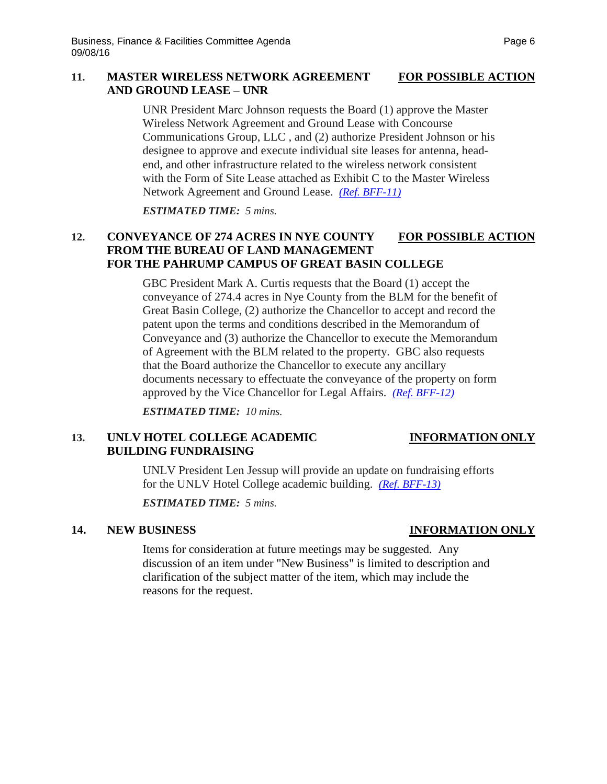# **11. MASTER WIRELESS NETWORK AGREEMENT FOR POSSIBLE ACTION AND GROUND LEASE** – **UNR**

UNR President Marc Johnson requests the Board (1) approve the Master Wireless Network Agreement and Ground Lease with Concourse Communications Group, LLC , and (2) authorize President Johnson or his designee to approve and execute individual site leases for antenna, headend, and other infrastructure related to the wireless network consistent with the Form of Site Lease attached as Exhibit C to the Master Wireless Network Agreement and Ground Lease. *[\(Ref. BFF-11\)](http://system.nevada.edu/tasks/sites/Nshe/assets/File/BoardOfRegents/Agendas/2016/sept-mtgs/bff-refs/BFF-11.pdf)*

*ESTIMATED TIME: 5 mins.*

# 12. **CONVEYANCE OF 274 ACRES IN NYE COUNTY FOR POSSIBLE ACTION FROM THE BUREAU OF LAND MANAGEMENT FOR THE PAHRUMP CAMPUS OF GREAT BASIN COLLEGE**

GBC President Mark A. Curtis requests that the Board (1) accept the conveyance of 274.4 acres in Nye County from the BLM for the benefit of Great Basin College, (2) authorize the Chancellor to accept and record the patent upon the terms and conditions described in the Memorandum of Conveyance and (3) authorize the Chancellor to execute the Memorandum of Agreement with the BLM related to the property. GBC also requests that the Board authorize the Chancellor to execute any ancillary documents necessary to effectuate the conveyance of the property on form approved by the Vice Chancellor for Legal Affairs. *[\(Ref. BFF-12\)](http://system.nevada.edu/tasks/sites/Nshe/assets/File/BoardOfRegents/Agendas/2016/sept-mtgs/bff-refs/BFF-12.pdf)*

*ESTIMATED TIME: 10 mins.*

### 13. UNLV HOTEL COLLEGE ACADEMIC **INFORMATION ONLY BUILDING FUNDRAISING**

UNLV President Len Jessup will provide an update on fundraising efforts for the UNLV Hotel College academic building. *[\(Ref. BFF-13\)](http://system.nevada.edu/tasks/sites/Nshe/assets/File/BoardOfRegents/Agendas/2016/sept-mtgs/bff-refs/BFF-13.pdf)*

*ESTIMATED TIME: 5 mins.*

### **14. NEW BUSINESS INFORMATION ONLY**

Items for consideration at future meetings may be suggested. Any discussion of an item under "New Business" is limited to description and clarification of the subject matter of the item, which may include the reasons for the request.